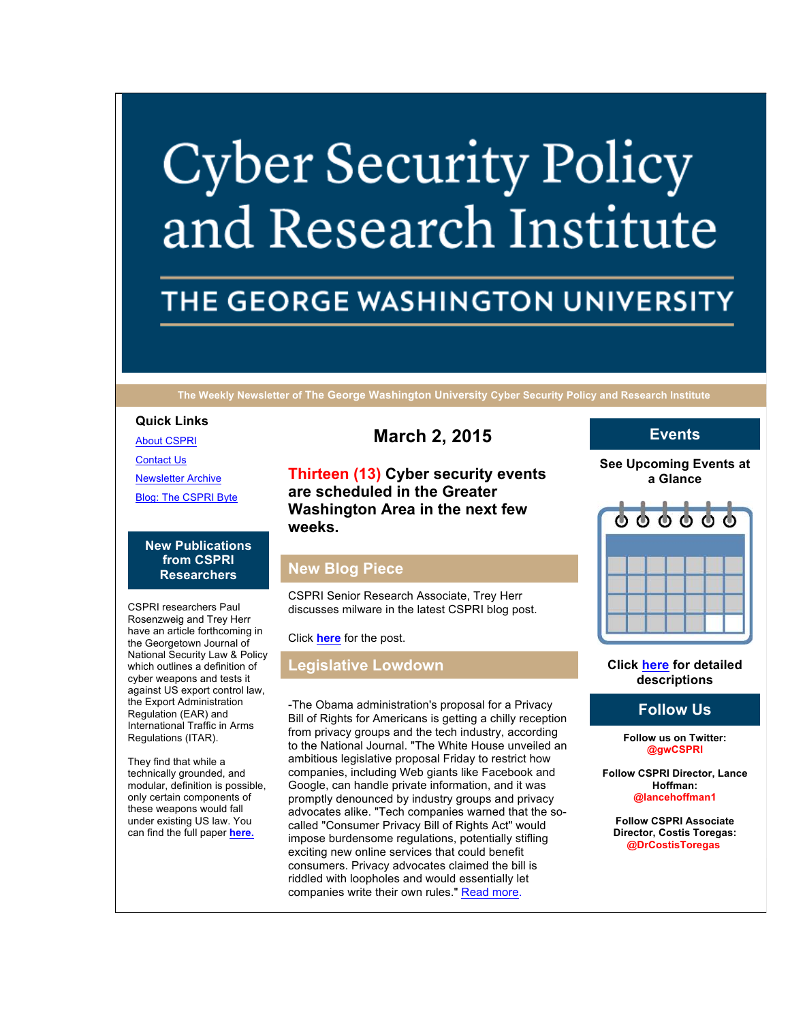# **Cyber Security Policy** and Research Institute

# THE GEORGE WASHINGTON UNIVERSITY

**The Weekly Newsletter of The George Washington University Cyber Security Policy and Research Institute**

#### **Quick Links**

About CSPRI

Contact Us

Newsletter Archive

Blog: The CSPRI Byte

#### **New Publications from CSPRI Researchers**

CSPRI researchers Paul Rosenzweig and Trey Herr have an article forthcoming in the Georgetown Journal of National Security Law & Policy which outlines a definition of cyber weapons and tests it against US export control law, the Export Administration Regulation (EAR) and International Traffic in Arms Regulations (ITAR).

They find that while a technically grounded, and modular, definition is possible, only certain components of these weapons would fall under existing US law. You can find the full paper **here.**

**March 2, 2015**

**Thirteen (13) Cyber security events are scheduled in the Greater Washington Area in the next few weeks.**

# **New Blog Piece**

CSPRI Senior Research Associate, Trey Herr discusses milware in the latest CSPRI blog post.

Click **here** for the post.

### **Legislative Lowdown**

-The Obama administration's proposal for a Privacy Bill of Rights for Americans is getting a chilly reception from privacy groups and the tech industry, according to the National Journal. "The White House unveiled an ambitious legislative proposal Friday to restrict how companies, including Web giants like Facebook and Google, can handle private information, and it was promptly denounced by industry groups and privacy advocates alike. "Tech companies warned that the socalled "Consumer Privacy Bill of Rights Act" would impose burdensome regulations, potentially stifling exciting new online services that could benefit consumers. Privacy advocates claimed the bill is riddled with loopholes and would essentially let companies write their own rules." Read more.

#### **Events**

**See Upcoming Events at a Glance**



#### **Click here for detailed descriptions**

# **Follow Us**

**Follow us on Twitter: @gwCSPRI**

**Follow CSPRI Director, Lance Hoffman: @lancehoffman1**

**Follow CSPRI Associate Director, Costis Toregas: @DrCostisToregas**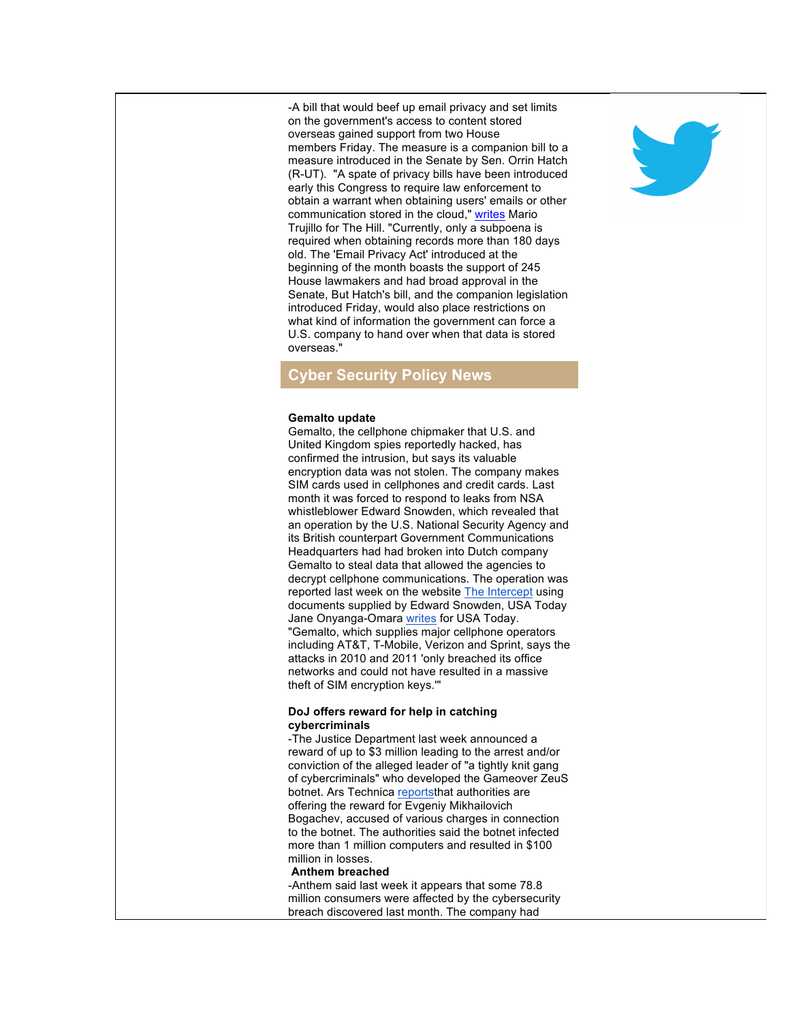-A bill that would beef up email privacy and set limits on the government's access to content stored overseas gained support from two House members Friday. The measure is a companion bill to a measure introduced in the Senate by Sen. Orrin Hatch (R-UT). "A spate of privacy bills have been introduced early this Congress to require law enforcement to obtain a warrant when obtaining users' emails or other communication stored in the cloud," writes Mario Trujillo for The Hill. "Currently, only a subpoena is required when obtaining records more than 180 days old. The 'Email Privacy Act' introduced at the beginning of the month boasts the support of 245 House lawmakers and had broad approval in the Senate, But Hatch's bill, and the companion legislation introduced Friday, would also place restrictions on what kind of information the government can force a U.S. company to hand over when that data is stored overseas."

## **Cyber Security Policy News**

#### **Gemalto update**

Gemalto, the cellphone chipmaker that U.S. and United Kingdom spies reportedly hacked, has confirmed the intrusion, but says its valuable encryption data was not stolen. The company makes SIM cards used in cellphones and credit cards. Last month it was forced to respond to leaks from NSA whistleblower Edward Snowden, which revealed that an operation by the U.S. National Security Agency and its British counterpart Government Communications Headquarters had had broken into Dutch company Gemalto to steal data that allowed the agencies to decrypt cellphone communications. The operation was reported last week on the website The Intercept using documents supplied by Edward Snowden, USA Today Jane Onyanga-Omara writes for USA Today. "Gemalto, which supplies major cellphone operators including AT&T, T-Mobile, Verizon and Sprint, says the attacks in 2010 and 2011 'only breached its office networks and could not have resulted in a massive theft of SIM encryption keys.'"

#### **DoJ offers reward for help in catching cybercriminals**

-The Justice Department last week announced a reward of up to \$3 million leading to the arrest and/or conviction of the alleged leader of "a tightly knit gang of cybercriminals" who developed the Gameover ZeuS botnet. Ars Technica reportsthat authorities are offering the reward for Evgeniy Mikhailovich Bogachev, accused of various charges in connection to the botnet. The authorities said the botnet infected more than 1 million computers and resulted in \$100 million in losses.

#### **Anthem breached**

-Anthem said last week it appears that some 78.8 million consumers were affected by the cybersecurity breach discovered last month. The company had